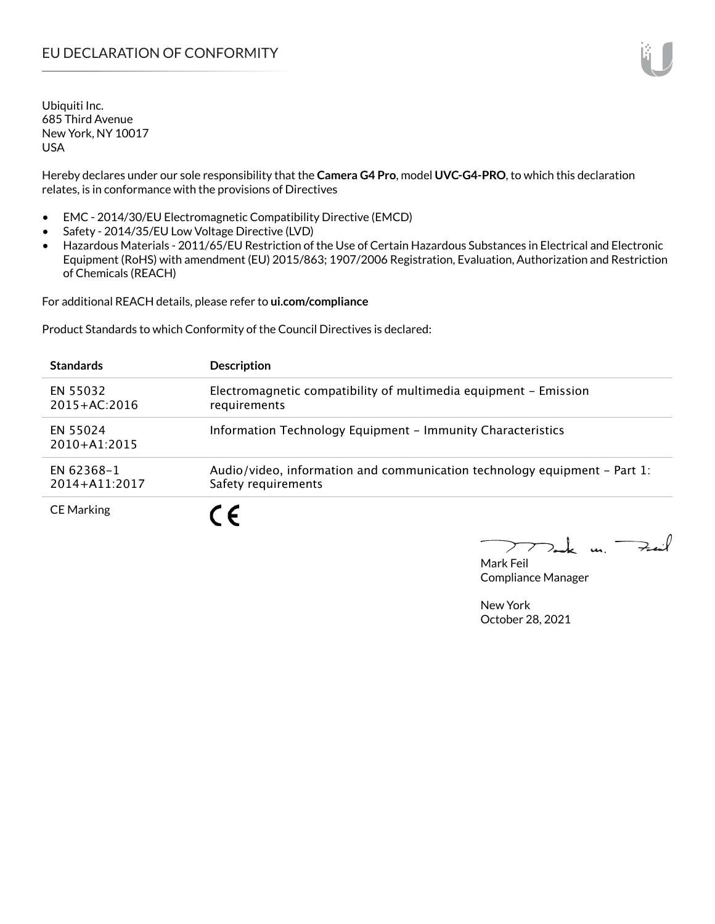Hereby declares under our sole responsibility that the **Camera G4 Pro**, model **UVC-G4-PRO**, to which this declaration relates, is in conformance with the provisions of Directives

- EMC 2014/30/EU Electromagnetic Compatibility Directive (EMCD)
- Safety 2014/35/EU Low Voltage Directive (LVD)
- Hazardous Materials 2011/65/EU Restriction of the Use of Certain Hazardous Substances in Electrical and Electronic Equipment (RoHS) with amendment (EU) 2015/863; 1907/2006 Registration, Evaluation, Authorization and Restriction of Chemicals (REACH)

For additional REACH details, please refer to **ui.com/compliance**

Product Standards to which Conformity of the Council Directives is declared:

| <b>Standards</b>                    | <b>Description</b>                                                                               |
|-------------------------------------|--------------------------------------------------------------------------------------------------|
| EN 55032<br>$2015 + AC:2016$        | Electromagnetic compatibility of multimedia equipment - Emission<br>requirements                 |
| <b>EN 55024</b><br>$2010 + A1:2015$ | Information Technology Equipment - Immunity Characteristics                                      |
| EN 62368-1<br>$2014 + A11:2017$     | Audio/video, information and communication technology equipment – Part 1:<br>Safety requirements |
| <b>CE Marking</b>                   | $\epsilon$                                                                                       |

 $k$  un  $\rightarrow$ 

Mark Feil Compliance Manager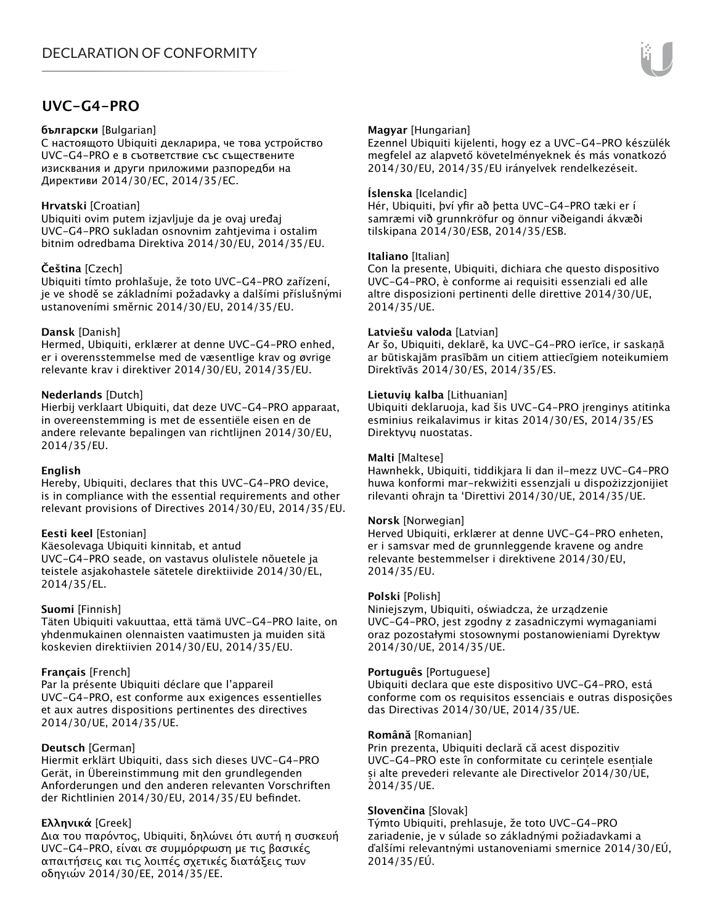# **UVC-G4-PRO**

#### **български** [Bulgarian]

С настоящото Ubiquiti декларира, че това устройство UVC-G4-PRO е в съответствие със съществените изисквания и други приложими разпоредби на Директиви 2014/30/ЕС, 2014/35/ЕС.

# **Hrvatski** [Croatian]

Ubiquiti ovim putem izjavljuje da je ovaj uređaj UVC-G4-PRO sukladan osnovnim zahtjevima i ostalim bitnim odredbama Direktiva 2014/30/EU, 2014/35/EU.

# **Čeština** [Czech]

Ubiquiti tímto prohlašuje, že toto UVC-G4-PRO zařízení, je ve shodě se základními požadavky a dalšími příslušnými ustanoveními směrnic 2014/30/EU, 2014/35/EU.

# **Dansk** [Danish]

Hermed, Ubiquiti, erklærer at denne UVC-G4-PRO enhed, er i overensstemmelse med de væsentlige krav og øvrige relevante krav i direktiver 2014/30/EU, 2014/35/EU.

# **Nederlands** [Dutch]

Hierbij verklaart Ubiquiti, dat deze UVC-G4-PRO apparaat, in overeenstemming is met de essentiële eisen en de andere relevante bepalingen van richtlijnen 2014/30/EU, 2014/35/EU.

# **English**

Hereby, Ubiquiti, declares that this UVC-G4-PRO device, is in compliance with the essential requirements and other relevant provisions of Directives 2014/30/EU, 2014/35/EU.

# **Eesti keel** [Estonian]

Käesolevaga Ubiquiti kinnitab, et antud UVC-G4-PRO seade, on vastavus olulistele nõuetele ja teistele asjakohastele sätetele direktiivide 2014/30/EL, 2014/35/EL.

# **Suomi** [Finnish]

Täten Ubiquiti vakuuttaa, että tämä UVC-G4-PRO laite, on yhdenmukainen olennaisten vaatimusten ja muiden sitä koskevien direktiivien 2014/30/EU, 2014/35/EU.

# **Français** [French]

Par la présente Ubiquiti déclare que l'appareil UVC-G4-PRO, est conforme aux exigences essentielles et aux autres dispositions pertinentes des directives 2014/30/UE, 2014/35/UE.

# **Deutsch** [German]

Hiermit erklärt Ubiquiti, dass sich dieses UVC-G4-PRO Gerät, in Übereinstimmung mit den grundlegenden Anforderungen und den anderen relevanten Vorschriften der Richtlinien 2014/30/EU, 2014/35/EU befindet.

# **Ελληνικά** [Greek]

Δια του παρόντος, Ubiquiti, δηλώνει ότι αυτή η συσκευή UVC-G4-PRO, είναι σε συμμόρφωση με τις βασικές απαιτήσεις και τις λοιπές σχετικές διατάξεις των οδηγιών 2014/30/EE, 2014/35/EE.

# **Magyar** [Hungarian]

Ezennel Ubiquiti kijelenti, hogy ez a UVC-G4-PRO készülék megfelel az alapvető követelményeknek és más vonatkozó 2014/30/EU, 2014/35/EU irányelvek rendelkezéseit.

#### **Íslenska** [Icelandic]

Hér, Ubiquiti, því yfir að þetta UVC-G4-PRO tæki er í samræmi við grunnkröfur og önnur viðeigandi ákvæði tilskipana 2014/30/ESB, 2014/35/ESB.

#### **Italiano** [Italian]

Con la presente, Ubiquiti, dichiara che questo dispositivo UVC-G4-PRO, è conforme ai requisiti essenziali ed alle altre disposizioni pertinenti delle direttive 2014/30/UE, 2014/35/UE.

#### **Latviešu valoda** [Latvian]

Ar šo, Ubiquiti, deklarē, ka UVC-G4-PRO ierīce, ir saskaņā ar būtiskajām prasībām un citiem attiecīgiem noteikumiem Direktīvās 2014/30/ES, 2014/35/ES.

#### **Lietuvių kalba** [Lithuanian]

Ubiquiti deklaruoja, kad šis UVC-G4-PRO įrenginys atitinka esminius reikalavimus ir kitas 2014/30/ES, 2014/35/ES Direktyvų nuostatas.

#### **Malti** [Maltese]

Hawnhekk, Ubiquiti, tiddikjara li dan il-mezz UVC-G4-PRO huwa konformi mar-rekwiżiti essenzjali u dispożizzjonijiet rilevanti oħrajn ta 'Direttivi 2014/30/UE, 2014/35/UE.

#### **Norsk** [Norwegian]

Herved Ubiquiti, erklærer at denne UVC-G4-PRO enheten, er i samsvar med de grunnleggende kravene og andre relevante bestemmelser i direktivene 2014/30/EU, 2014/35/EU.

#### **Polski** [Polish]

Niniejszym, Ubiquiti, oświadcza, że urządzenie UVC-G4-PRO, jest zgodny z zasadniczymi wymaganiami oraz pozostałymi stosownymi postanowieniami Dyrektyw 2014/30/UE, 2014/35/UE.

#### **Português** [Portuguese]

Ubiquiti declara que este dispositivo UVC-G4-PRO, está conforme com os requisitos essenciais e outras disposições das Directivas 2014/30/UE, 2014/35/UE.

#### **Română** [Romanian]

Prin prezenta, Ubiquiti declară că acest dispozitiv UVC-G4-PRO este în conformitate cu cerințele esențiale și alte prevederi relevante ale Directivelor 2014/30/UE, 2014/35/UE.

# **Slovenčina** [Slovak]

Týmto Ubiquiti, prehlasuje, že toto UVC-G4-PRO zariadenie, je v súlade so základnými požiadavkami a ďalšími relevantnými ustanoveniami smernice 2014/30/EÚ, 2014/35/EÚ.

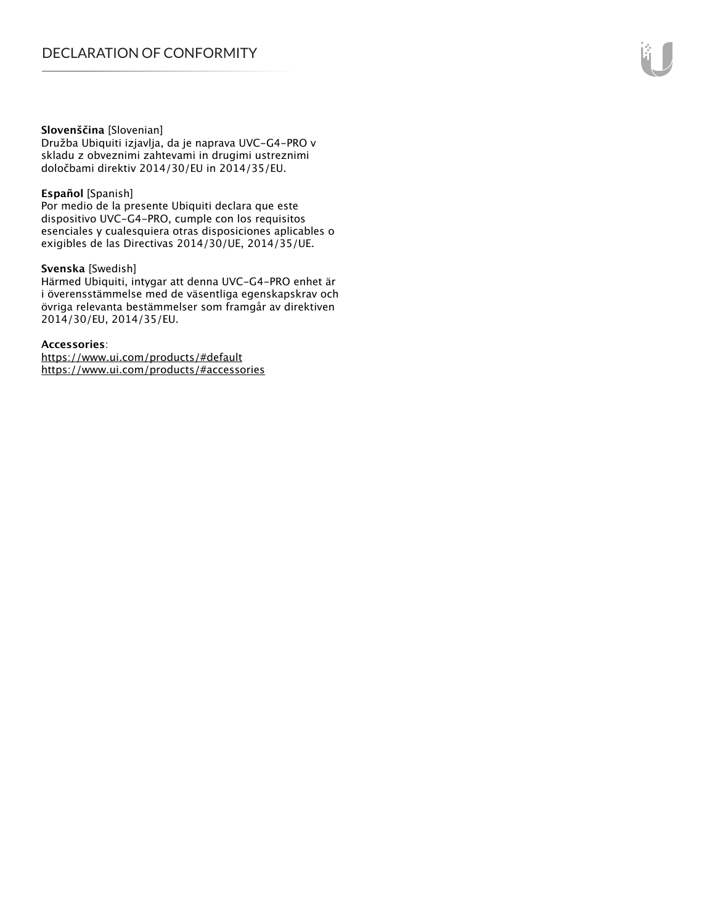#### **Slovenščina** [Slovenian]

Družba Ubiquiti izjavlja, da je naprava UVC-G4-PRO v skladu z obveznimi zahtevami in drugimi ustreznimi določbami direktiv 2014/30/EU in 2014/35/EU.

#### **Español** [Spanish]

Por medio de la presente Ubiquiti declara que este dispositivo UVC-G4-PRO, cumple con los requisitos esenciales y cualesquiera otras disposiciones aplicables o exigibles de las Directivas 2014/30/UE, 2014/35/UE.

### **Svenska** [Swedish]

Härmed Ubiquiti, intygar att denna UVC-G4-PRO enhet är i överensstämmelse med de väsentliga egenskapskrav och övriga relevanta bestämmelser som framgår av direktiven 2014/30/EU, 2014/35/EU.

#### **Accessories**:

https://www.ui.com/products/#default https://www.ui.com/products/#accessories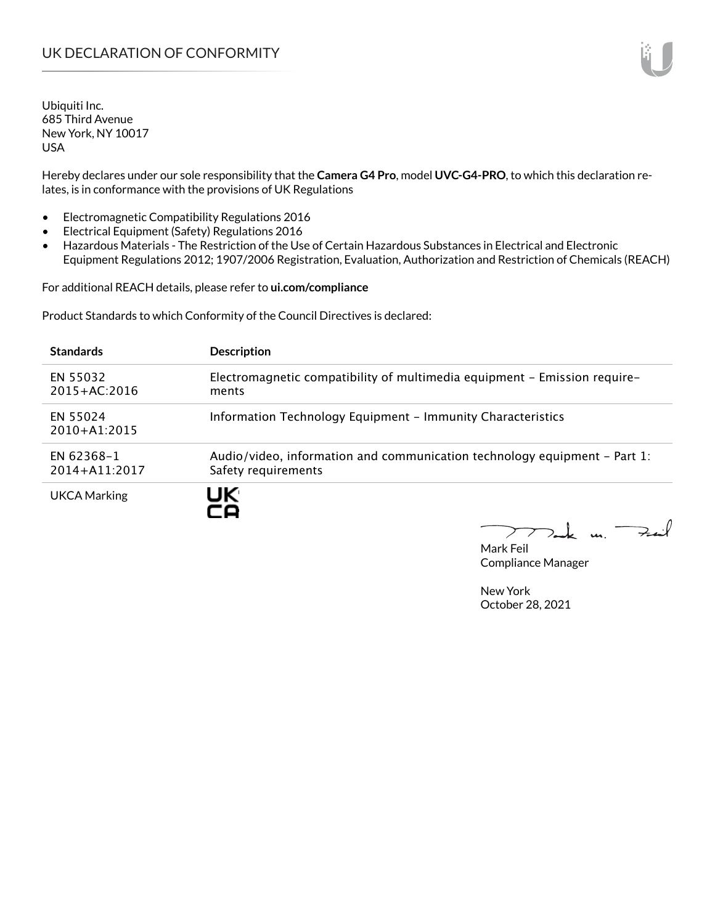Hereby declares under our sole responsibility that the **Camera G4 Pro**, model **UVC-G4-PRO**, to which this declaration relates, is in conformance with the provisions of UK Regulations

- Electromagnetic Compatibility Regulations 2016
- Electrical Equipment (Safety) Regulations 2016
- Hazardous Materials The Restriction of the Use of Certain Hazardous Substances in Electrical and Electronic Equipment Regulations 2012; 1907/2006 Registration, Evaluation, Authorization and Restriction of Chemicals (REACH)

For additional REACH details, please refer to **ui.com/compliance**

Product Standards to which Conformity of the Council Directives is declared:

| <b>Standards</b>                | <b>Description</b>                                                                               |
|---------------------------------|--------------------------------------------------------------------------------------------------|
| EN 55032<br>$2015 + AC:2016$    | Electromagnetic compatibility of multimedia equipment - Emission require-<br>ments               |
| EN 55024<br>$2010+A1:2015$      | Information Technology Equipment - Immunity Characteristics                                      |
| EN 62368-1<br>$2014 + A11:2017$ | Audio/video, information and communication technology equipment – Part 1:<br>Safety requirements |
| <b>UKCA Marking</b>             | UK.                                                                                              |

 $k$  un  $\rightarrow$  $\sum$ 

Mark Feil Compliance Manager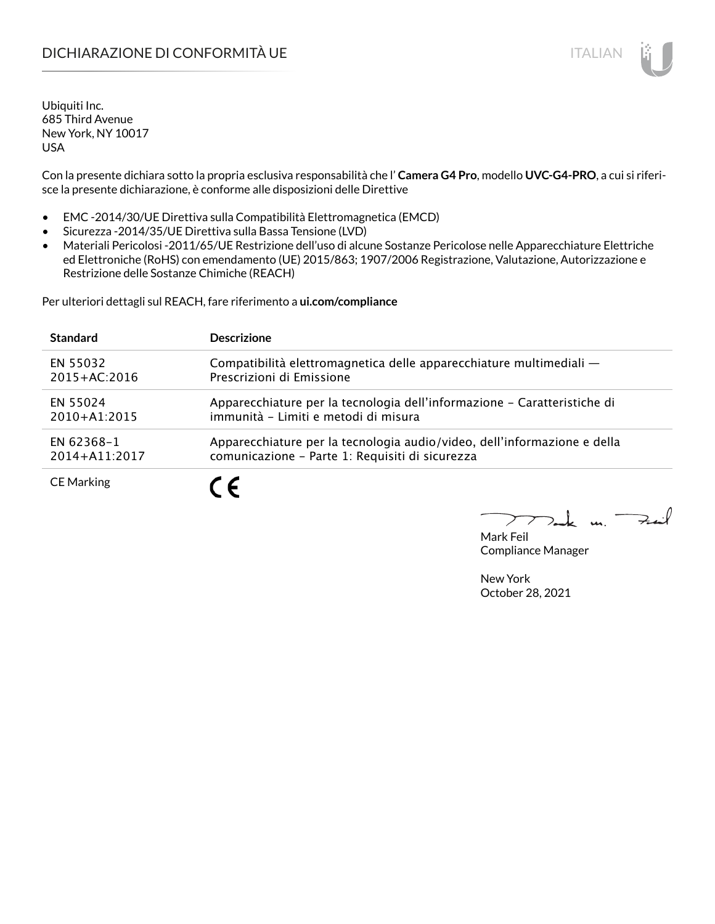# DICHIARAZIONE DI CONFORMITÀ UE ITALIAN ITALIAN

Ubiquiti Inc. 685 Third Avenue New York, NY 10017 USA

Con la presente dichiara sotto la propria esclusiva responsabilità che l' **Camera G4 Pro**, modello **UVC-G4-PRO**, a cui si riferisce la presente dichiarazione, è conforme alle disposizioni delle Direttive

- EMC -2014/30/UE Direttiva sulla Compatibilità Elettromagnetica (EMCD)
- Sicurezza -2014/35/UE Direttiva sulla Bassa Tensione (LVD)
- Materiali Pericolosi -2011/65/UE Restrizione dell'uso di alcune Sostanze Pericolose nelle Apparecchiature Elettriche ed Elettroniche (RoHS) con emendamento (UE) 2015/863; 1907/2006 Registrazione, Valutazione, Autorizzazione e Restrizione delle Sostanze Chimiche (REACH)

Per ulteriori dettagli sul REACH, fare riferimento a **ui.com/compliance**

| <b>Standard</b>   | <b>Descrizione</b>                                                       |
|-------------------|--------------------------------------------------------------------------|
| EN 55032          | Compatibilità elettromagnetica delle apparecchiature multimediali -      |
| $2015 + AC:2016$  | Prescrizioni di Emissione                                                |
| EN 55024          | Apparecchiature per la tecnologia dell'informazione – Caratteristiche di |
| $2010+A1:2015$    | immunità - Limiti e metodi di misura                                     |
| EN 62368-1        | Apparecchiature per la tecnologia audio/video, dell'informazione e della |
| 2014+A11:2017     | comunicazione - Parte 1: Requisiti di sicurezza                          |
| <b>CE Marking</b> | 7 C                                                                      |

Fail  $\mathbf{u}$ 

Mark Feil Compliance Manager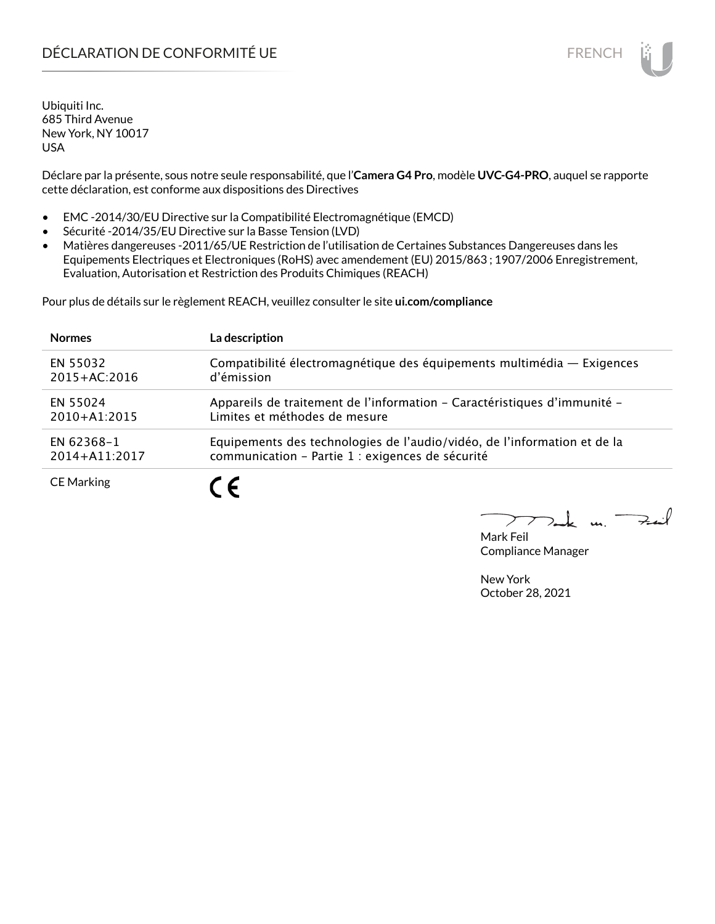# DÉCLARATION DE CONFORMITÉ UE EN ENCHANGEMENT DE CONFORMITÉ UNE ENCHANGEMENT DE CONFORMITÉ UNE ENCHANGEMENT DE

Ubiquiti Inc. 685 Third Avenue New York, NY 10017 USA

Déclare par la présente, sous notre seule responsabilité, que l'**Camera G4 Pro**, modèle **UVC-G4-PRO**, auquel se rapporte cette déclaration, est conforme aux dispositions des Directives

- EMC -2014/30/EU Directive sur la Compatibilité Electromagnétique (EMCD)
- Sécurité -2014/35/EU Directive sur la Basse Tension (LVD)
- Matières dangereuses -2011/65/UE Restriction de l'utilisation de Certaines Substances Dangereuses dans les Equipements Electriques et Electroniques (RoHS) avec amendement (EU) 2015/863 ; 1907/2006 Enregistrement, Evaluation, Autorisation et Restriction des Produits Chimiques (REACH)

Pour plus de détails sur le règlement REACH, veuillez consulter le site **ui.com/compliance**

| <b>Normes</b>     | La description                                                           |
|-------------------|--------------------------------------------------------------------------|
| EN 55032          | Compatibilité électromagnétique des équipements multimédia - Exigences   |
| $2015 + AC:2016$  | d'émission                                                               |
| EN 55024          | Appareils de traitement de l'information - Caractéristiques d'immunité - |
| $2010+A1:2015$    | Limites et méthodes de mesure                                            |
| EN 62368-1        | Equipements des technologies de l'audio/vidéo, de l'information et de la |
| 2014+A11:2017     | communication - Partie 1 : exigences de sécurité                         |
| <b>CE Marking</b> | $\epsilon$                                                               |

 $\mu$ . Fail

Mark Feil Compliance Manager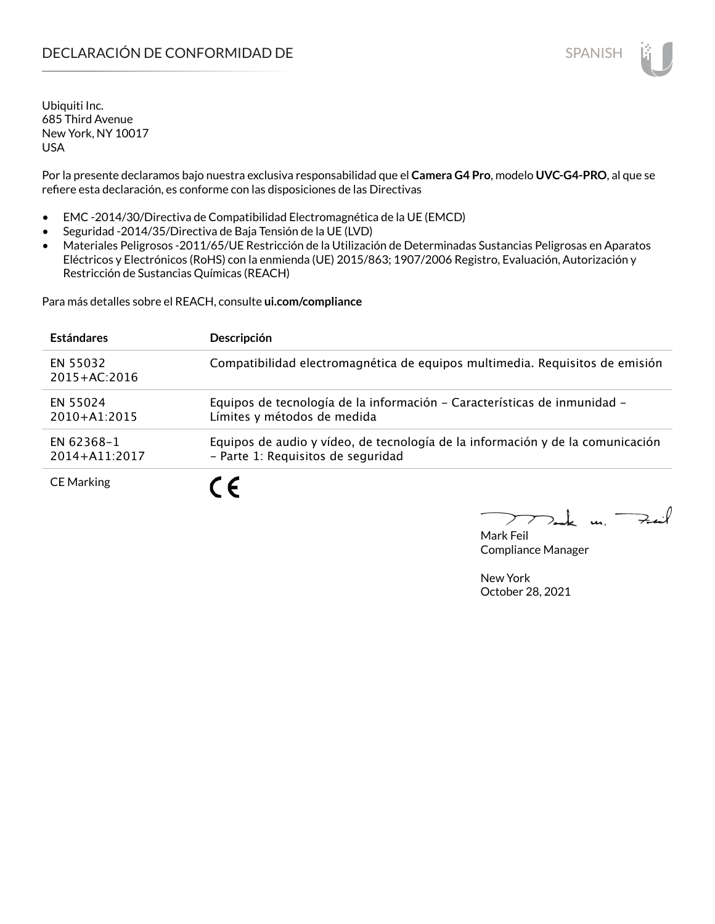Por la presente declaramos bajo nuestra exclusiva responsabilidad que el **Camera G4 Pro**, modelo **UVC-G4-PRO**, al que se refiere esta declaración, es conforme con las disposiciones de las Directivas

- EMC -2014/30/Directiva de Compatibilidad Electromagnética de la UE (EMCD)
- Seguridad -2014/35/Directiva de Baja Tensión de la UE (LVD)
- Materiales Peligrosos -2011/65/UE Restricción de la Utilización de Determinadas Sustancias Peligrosas en Aparatos Eléctricos y Electrónicos (RoHS) con la enmienda (UE) 2015/863; 1907/2006 Registro, Evaluación, Autorización y Restricción de Sustancias Químicas (REACH)

Para más detalles sobre el REACH, consulte **ui.com/compliance**

| <b>Estándares</b>            | Descripción                                                                                                          |
|------------------------------|----------------------------------------------------------------------------------------------------------------------|
| EN 55032<br>$2015 + AC:2016$ | Compatibilidad electromagnética de equipos multimedia. Requisitos de emisión                                         |
| EN 55024<br>$2010 + A1:2015$ | Equipos de tecnología de la información - Características de inmunidad -<br>Límites y métodos de medida              |
| EN 62368-1<br>2014+A11:2017  | Equipos de audio y vídeo, de tecnología de la información y de la comunicación<br>- Parte 1: Requisitos de seguridad |
| <b>CE Marking</b>            | $\overline{\phantom{a}}$                                                                                             |

Mark Feil Compliance Manager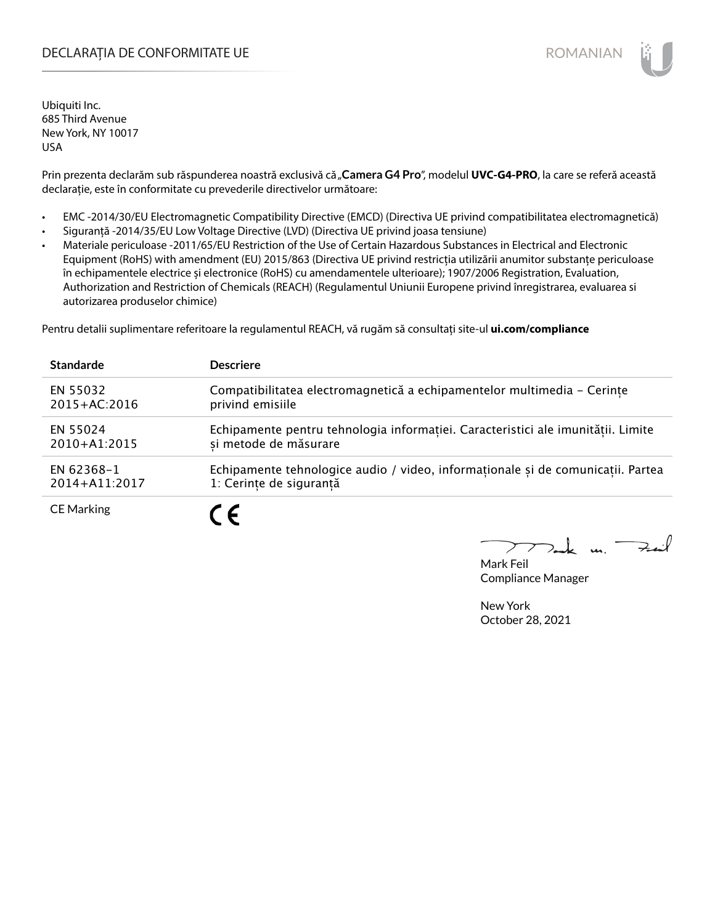# DECLARAȚIA DE CONFORMITATE UE EXTERNATION ANNO 1999 EN ANNO 1999 ROMANIAN

Ubiquiti Inc. 685 Third Avenue New York, NY 10017 USA

Prin prezenta declarăm sub răspunderea noastră exclusivă că "Camera G4 Pro", modelul UVC-G4-PRO, la care se referă această declarație, este în conformitate cu prevederile directivelor următoare:

- EMC -2014/30/EU Electromagnetic Compatibility Directive (EMCD) (Directiva UE privind compatibilitatea electromagnetică)
- Siguranță -2014/35/EU Low Voltage Directive (LVD) (Directiva UE privind joasa tensiune)
- Materiale periculoase -2011/65/EU Restriction of the Use of Certain Hazardous Substances in Electrical and Electronic Equipment (RoHS) with amendment (EU) 2015/863 (Directiva UE privind restricția utilizării anumitor substanțe periculoase în echipamentele electrice și electronice (RoHS) cu amendamentele ulterioare); 1907/2006 Registration, Evaluation, Authorization and Restriction of Chemicals (REACH) (Regulamentul Uniunii Europene privind înregistrarea, evaluarea si autorizarea produselor chimice)

Pentru detalii suplimentare referitoare la regulamentul REACH, vă rugăm să consultați site-ul **ui.com/compliance**

| <b>Standarde</b>  | <b>Descriere</b>                                                                 |
|-------------------|----------------------------------------------------------------------------------|
| EN 55032          | Compatibilitatea electromagnetică a echipamentelor multimedia - Cerințe          |
| 2015+AC:2016      | privind emisiile                                                                 |
| EN 55024          | Echipamente pentru tehnologia informației. Caracteristici ale imunității. Limite |
| $2010+A1:2015$    | si metode de măsurare                                                            |
| EN 62368-1        | Echipamente tehnologice audio / video, informaționale și de comunicații. Partea  |
| 2014+A11:2017     | 1: Cerințe de siguranță                                                          |
| <b>CE Marking</b> | $\epsilon$                                                                       |

m. Fail

Mark Feil Compliance Manager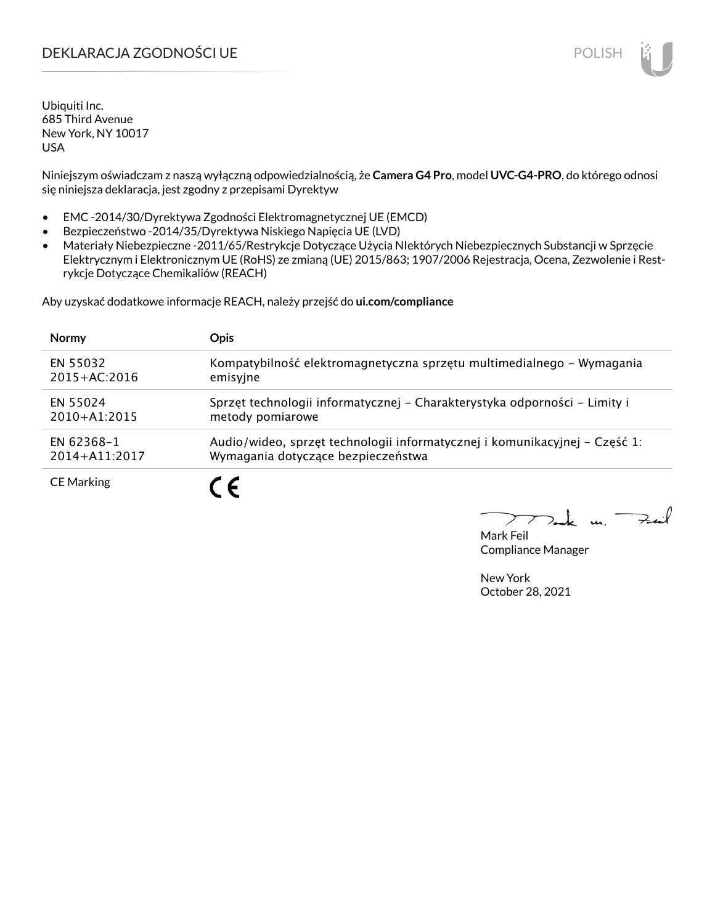# DEKLARACJA ZGODNOŚCI UE POLISH POLISH

Ubiquiti Inc. 685 Third Avenue New York, NY 10017 USA

Niniejszym oświadczam z naszą wyłączną odpowiedzialnością, że **Camera G4 Pro**, model **UVC-G4-PRO**, do którego odnosi się niniejsza deklaracja, jest zgodny z przepisami Dyrektyw

- EMC -2014/30/Dyrektywa Zgodności Elektromagnetycznej UE (EMCD)
- Bezpieczeństwo -2014/35/Dyrektywa Niskiego Napięcia UE (LVD)
- Materiały Niebezpieczne -2011/65/Restrykcje Dotyczące Użycia NIektórych Niebezpiecznych Substancji w Sprzęcie Elektrycznym i Elektronicznym UE (RoHS) ze zmianą (UE) 2015/863; 1907/2006 Rejestracja, Ocena, Zezwolenie i Restrykcje Dotyczące Chemikaliów (REACH)

Aby uzyskać dodatkowe informacje REACH, należy przejść do **ui.com/compliance**

| <b>Normy</b>      | <b>Opis</b>                                                                |
|-------------------|----------------------------------------------------------------------------|
| EN 55032          | Kompatybilność elektromagnetyczna sprzętu multimedialnego – Wymagania      |
| $2015 + AC:2016$  | emisyjne                                                                   |
| EN 55024          | Sprzęt technologii informatycznej - Charakterystyka odporności - Limity i  |
| $2010 + A1:2015$  | metody pomiarowe                                                           |
| EN 62368-1        | Audio/wideo, sprzęt technologii informatycznej i komunikacyjnej – Część 1: |
| 2014+A11:2017     | Wymagania dotyczące bezpieczeństwa                                         |
| <b>CE Marking</b> |                                                                            |

لأمدحة  $\mathbf{u}$ 

Mark Feil Compliance Manager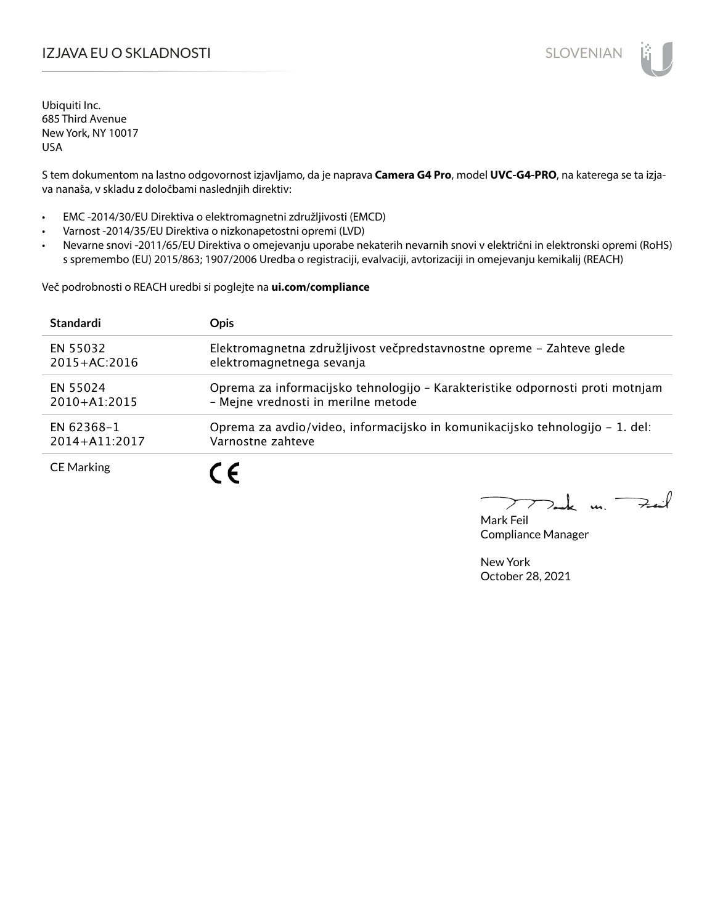# I**ZJAVA EU O SKLADNOSTI** SLOVENIAN

Ubiquiti Inc. 685 Third Avenue New York, NY 10017 USA

S tem dokumentom na lastno odgovornost izjavljamo, da je naprava **Camera G4 Pro**, model **UVC-G4-PRO**, na katerega se ta izjava nanaša, v skladu z določbami naslednjih direktiv:

- EMC -2014/30/EU Direktiva o elektromagnetni združljivosti (EMCD)
- Varnost -2014/35/EU Direktiva o nizkonapetostni opremi (LVD)
- Nevarne snovi -2011/65/EU Direktiva o omejevanju uporabe nekaterih nevarnih snovi v električni in elektronski opremi (RoHS) s spremembo (EU) 2015/863; 1907/2006 Uredba o registraciji, evalvaciji, avtorizaciji in omejevanju kemikalij (REACH)

Več podrobnosti o REACH uredbi si poglejte na **ui.com/compliance**

| <b>Standardi</b>  | <b>Opis</b>                                                                   |
|-------------------|-------------------------------------------------------------------------------|
| EN 55032          | Elektromagnetna združljivost večpredstavnostne opreme - Zahteve glede         |
| $2015 + AC:2016$  | elektromagnetnega sevanja                                                     |
| EN 55024          | Oprema za informacijsko tehnologijo - Karakteristike odpornosti proti motnjam |
| $2010+A1:2015$    | - Mejne vrednosti in merilne metode                                           |
| EN 62368-1        | Oprema za avdio/video, informacijsko in komunikacijsko tehnologijo – 1. del:  |
| $2014 + A11:2017$ | Varnostne zahteve                                                             |
| <b>CE Marking</b> | C E                                                                           |

 $k$  un  $\rightarrow$ 

Mark Feil Compliance Manager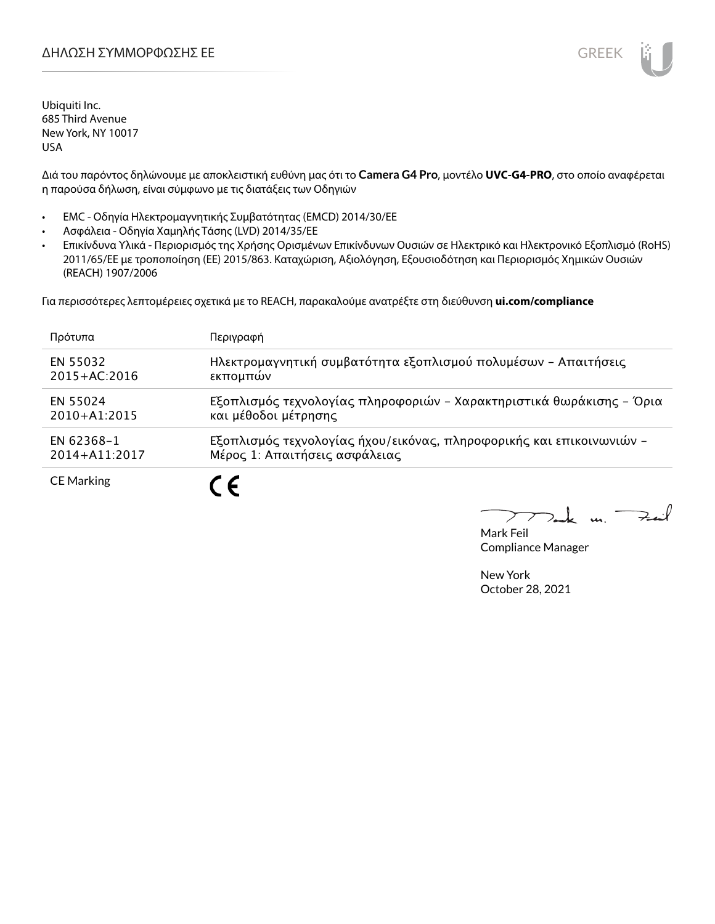

Διά του παρόντος δηλώνουμε με αποκλειστική ευθύνη μας ότι το **Camera G4 Pro**, μοντέλο **UVC-G4-PRO**, στο οποίο αναφέρεται η παρούσα δήλωση, είναι σύμφωνο με τις διατάξεις των Οδηγιών

- EMC Οδηγία Ηλεκτρομαγνητικής Συμβατότητας (EMCD) 2014/30/ΕΕ
- Ασφάλεια Οδηγία Χαμηλής Τάσης (LVD) 2014/35/ΕΕ
- Επικίνδυνα Υλικά Περιορισμός της Χρήσης Ορισμένων Επικίνδυνων Ουσιών σε Ηλεκτρικό και Ηλεκτρονικό Εξοπλισμό (RoHS) 2011/65/ΕΕ με τροποποίηση (ΕΕ) 2015/863. Καταχώριση, Αξιολόγηση, Εξουσιοδότηση και Περιορισμός Χημικών Ουσιών (REACH) 1907/2006

Για περισσότερες λεπτομέρειες σχετικά με το REACH, παρακαλούμε ανατρέξτε στη διεύθυνση **ui.com/compliance**

| Πρότυπα           | Περιγραφή                                                            |
|-------------------|----------------------------------------------------------------------|
| EN 55032          | Ηλεκτρομαγνητική συμβατότητα εξοπλισμού πολυμέσων - Απαιτήσεις       |
| $2015 + AC:2016$  | εκπομπών                                                             |
| EN 55024          | Εξοπλισμός τεχνολογίας πληροφοριών - Χαρακτηριστικά θωράκισης - Όρια |
| $2010 + A1:2015$  | και μέθοδοι μέτρησης                                                 |
| EN 62368-1        | Εξοπλισμός τεχνολογίας ήχου/εικόνας, πληροφορικής και επικοινωνιών - |
| $2014 + A11:2017$ | Μέρος 1: Απαιτήσεις ασφάλειας                                        |
| <b>CE Marking</b> |                                                                      |

 $k$  un  $\rightarrow$ ↗

Mark Feil Compliance Manager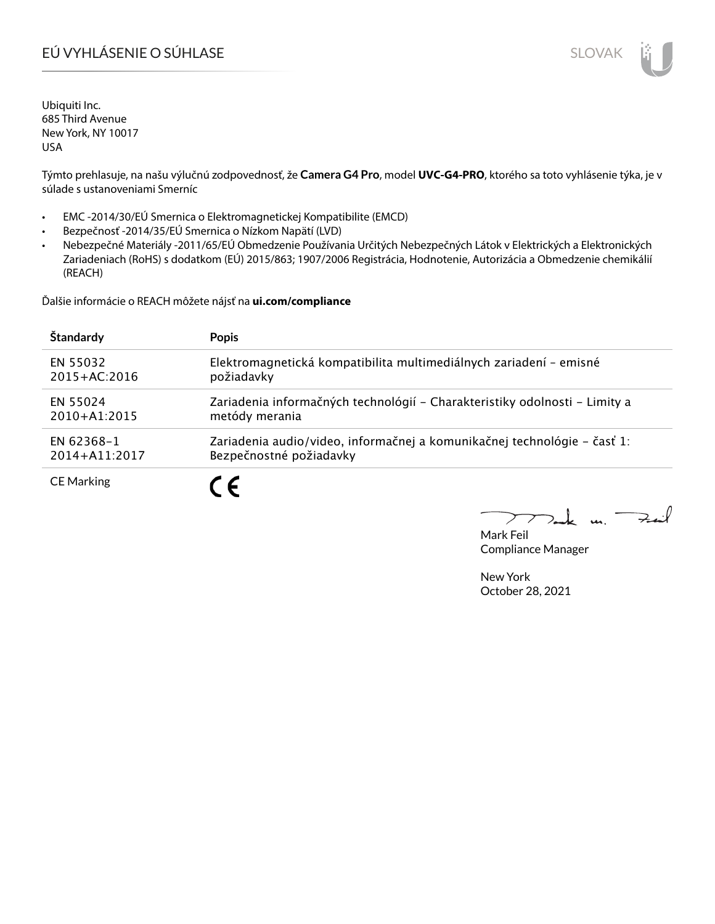# EÚ VYHLÁSENIE O SÚHLASE SLOVAK SLOVAK

Ubiquiti Inc. 685 Third Avenue New York, NY 10017 USA

Týmto prehlasuje, na našu výlučnú zodpovednosť, že **Camera G4 Pro**, model **UVC-G4-PRO**, ktorého sa toto vyhlásenie týka, je v súlade s ustanoveniami Smerníc

- EMC -2014/30/EÚ Smernica o Elektromagnetickej Kompatibilite (EMCD)
- Bezpečnosť -2014/35/EÚ Smernica o Nízkom Napätí (LVD)
- Nebezpečné Materiály -2011/65/EÚ Obmedzenie Používania Určitých Nebezpečných Látok v Elektrických a Elektronických Zariadeniach (RoHS) s dodatkom (EÚ) 2015/863; 1907/2006 Registrácia, Hodnotenie, Autorizácia a Obmedzenie chemikálií (REACH)

Ďalšie informácie o REACH môžete nájsť na **ui.com/compliance**

| Štandardy         | <b>Popis</b>                                                               |
|-------------------|----------------------------------------------------------------------------|
| EN 55032          | Elektromagnetická kompatibilita multimediálnych zariadení - emisné         |
| $2015 + AC:2016$  | požiadavky                                                                 |
| EN 55024          | Zariadenia informačných technológií – Charakteristiky odolnosti – Limity a |
| $2010+A1:2015$    | metódy merania                                                             |
| EN 62368-1        | Zariadenia audio/video, informačnej a komunikačnej technológie – časť 1:   |
| 2014+A11:2017     | Bezpečnostné požiadavky                                                    |
| <b>CE Marking</b> |                                                                            |

لأندجة  $\geq$  $\mathbf{u}$ 

Mark Feil Compliance Manager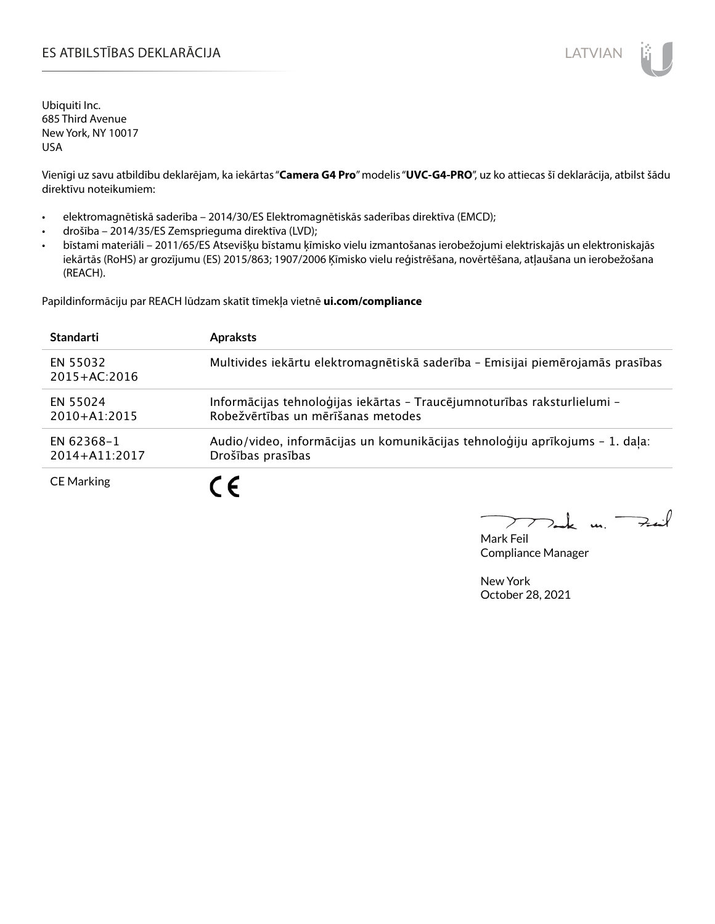# ES ATBILSTĪBAS DEKLARĀCIJA LATVIAN

Ubiquiti Inc. 685 Third Avenue New York, NY 10017 USA

Vienīgi uz savu atbildību deklarējam, ka iekārtas "**Camera G4 Pro**" modelis "**UVC-G4-PRO**", uz ko attiecas šī deklarācija, atbilst šādu direktīvu noteikumiem:

- elektromagnētiskā saderība 2014/30/ES Elektromagnētiskās saderības direktīva (EMCD);
- drošība 2014/35/ES Zemsprieguma direktīva (LVD);
- bīstami materiāli 2011/65/ES Atsevišķu bīstamu ķīmisko vielu izmantošanas ierobežojumi elektriskajās un elektroniskajās iekārtās (RoHS) ar grozījumu (ES) 2015/863; 1907/2006 Ķīmisko vielu reģistrēšana, novērtēšana, atļaušana un ierobežošana (REACH).

Papildinformāciju par REACH lūdzam skatīt tīmekļa vietnē **ui.com/compliance**

| <b>Standarti</b>             | <b>Apraksts</b>                                                                                                |
|------------------------------|----------------------------------------------------------------------------------------------------------------|
| EN 55032<br>$2015 + AC:2016$ | Multivides iekārtu elektromagnētiskā saderība - Emisijai piemērojamās prasības                                 |
| EN 55024<br>$2010+41:2015$   | Informācijas tehnoloģijas iekārtas - Traucējumnoturības raksturlielumi -<br>Robežvērtības un mērīšanas metodes |
| EN 62368-1<br>2014+A11:2017  | Audio/video, informācijas un komunikācijas tehnoloģiju aprīkojums - 1. daļa:<br>Drošības prasības              |
| <b>CE Marking</b>            |                                                                                                                |

m. Fail

Mark Feil Compliance Manager